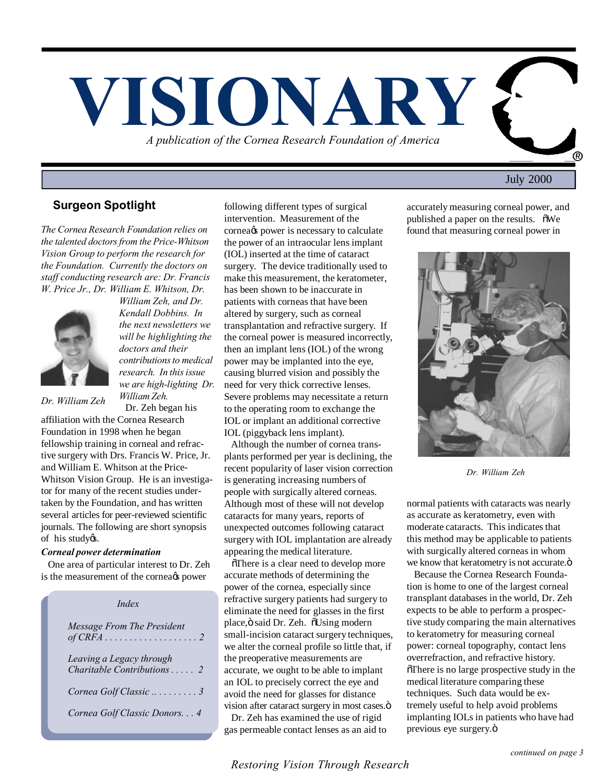

# July 2000

### **Surgeon Spotlight**

*The Cornea Research Foundation relies on the talented doctors from the Price-Whitson Vision Group to perform the research for the Foundation. Currently the doctors on staff conducting research are: Dr. Francis W. Price Jr., Dr. William E. Whitson, Dr.*



*William Zeh, and Dr. Kendall Dobbins. In the next newsletters we will be highlighting the doctors and their contributions to medical research. In this issue we are high-lighting Dr. William Zeh.* Dr. Zeh began his

*Dr. William Zeh*

affiliation with the Cornea Research Foundation in 1998 when he began fellowship training in corneal and refractive surgery with Drs. Francis W. Price, Jr. and William E. Whitson at the Price-Whitson Vision Group. He is an investigator for many of the recent studies undertaken by the Foundation, and has written several articles for peer-reviewed scientific journals. The following are short synopsis of his studyøs.

#### *Corneal power determination*

 One area of particular interest to Dr. Zeh is the measurement of the cornea<sub>®</sub> power

| Index                                                           |
|-----------------------------------------------------------------|
| Message From The President                                      |
| Leaving a Legacy through<br>Charitable Contributions $\ldots$ 2 |
| Cornea Golf Classic  3                                          |
| Cornea Golf Classic Donors. 4                                   |

following different types of surgical intervention. Measurement of the cornea<sup>g</sup> power is necessary to calculate the power of an intraocular lens implant (IOL) inserted at the time of cataract surgery. The device traditionally used to make this measurement, the keratometer, has been shown to be inaccurate in patients with corneas that have been altered by surgery, such as corneal transplantation and refractive surgery. If the corneal power is measured incorrectly, then an implant lens (IOL) of the wrong power may be implanted into the eye, causing blurred vision and possibly the need for very thick corrective lenses. Severe problems may necessitate a return to the operating room to exchange the IOL or implant an additional corrective IOL (piggyback lens implant).

 Although the number of cornea transplants performed per year is declining, the recent popularity of laser vision correction is generating increasing numbers of people with surgically altered corneas. Although most of these will not develop cataracts for many years, reports of unexpected outcomes following cataract surgery with IOL implantation are already appearing the medical literature.

 $\delta$ There is a clear need to develop more accurate methods of determining the power of the cornea, especially since refractive surgery patients had surgery to eliminate the need for glasses in the first place, ö said Dr. Zeh. õUsing modern small-incision cataract surgery techniques, we alter the corneal profile so little that, if the preoperative measurements are accurate, we ought to be able to implant an IOL to precisely correct the eye and avoid the need for glasses for distance vision after cataract surgery in most cases. $\ddot{o}$ 

 Dr. Zeh has examined the use of rigid gas permeable contact lenses as an aid to accurately measuring corneal power, and published a paper on the results.  $\delta$ We found that measuring corneal power in

**The Second Second Second Second** 



*Dr. William Zeh*

normal patients with cataracts was nearly as accurate as keratometry, even with moderate cataracts. This indicates that this method may be applicable to patients with surgically altered corneas in whom we know that keratometry is not accurate. $\ddot{o}$ 

 Because the Cornea Research Foundation is home to one of the largest corneal transplant databases in the world, Dr. Zeh expects to be able to perform a prospective study comparing the main alternatives to keratometry for measuring corneal power: corneal topography, contact lens overrefraction, and refractive history.  $\delta$ There is no large prospective study in the medical literature comparing these techniques. Such data would be extremely useful to help avoid problems implanting IOLs in patients who have had previous eye surgery.ö

*Restoring Vision Through Research*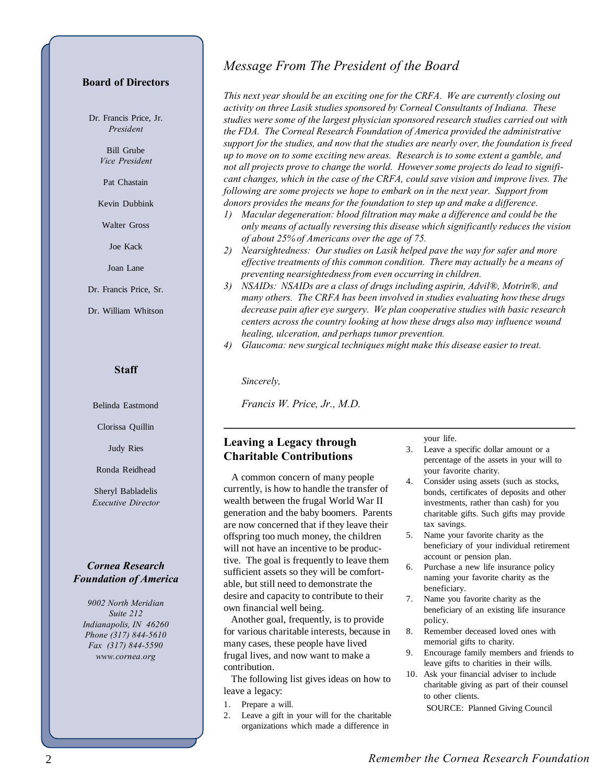#### **Board of Directors**

Dr. Francis Price, Jr. *President*

> Bill Grube *Vice President*

Pat Chastain

Kevin Dubbink

Walter Gross

Joe Kack

Joan Lane

Dr. Francis Price, Sr.

Dr. William Whitson

#### **Staff**

Belinda Eastmond

Clorissa Quillin

Judy Ries

Ronda Reidhead

Sheryl Babladelis *Executive Director*

### *Cornea Research Foundation of America*

*9002 North Meridian Suite 212 Indianapolis, IN 46260 Phone (317) 844-5610 Fax (317) 844-5590 www.cornea.org*

# *Message From The President of the Board*

*This next year should be an exciting one for the CRFA. We are currently closing out activity on three Lasik studies sponsored by Corneal Consultants of Indiana. These studies were some of the largest physician sponsored research studies carried out with the FDA. The Corneal Research Foundation of America provided the administrative support for the studies, and now that the studies are nearly over, the foundation is freed up to move on to some exciting new areas. Research is to some extent a gamble, and not all projects prove to change the world. However some projects do lead to significant changes, which in the case of the CRFA, could save vision and improve lives. The following are some projects we hope to embark on in the next year. Support from donors provides the means for the foundation to step up and make a difference.*

- *1) Macular degeneration: blood filtration may make a difference and could be the only means of actually reversing this disease which significantly reduces the vision of about 25% of Americans over the age of 75.*
- *2) Nearsightedness: Our studies on Lasik helped pave the way for safer and more effective treatments of this common condition. There may actually be a means of preventing nearsightedness from even occurring in children.*
- *3) NSAIDs: NSAIDs are a class of drugs including aspirin, Advil®, Motrin®, and many others. The CRFA has been involved in studies evaluating how these drugs decrease pain after eye surgery. We plan cooperative studies with basic research centers across the country looking at how these drugs also may influence wound healing, ulceration, and perhaps tumor prevention.*
- *4) Glaucoma: new surgical techniques might make this disease easier to treat.*

*Sincerely,*

*Francis W. Price, Jr., M.D.*

# **Leaving a Legacy through Charitable Contributions**

 A common concern of many people currently, is how to handle the transfer of wealth between the frugal World War II generation and the baby boomers. Parents are now concerned that if they leave their offspring too much money, the children will not have an incentive to be productive. The goal is frequently to leave them sufficient assets so they will be comfortable, but still need to demonstrate the desire and capacity to contribute to their own financial well being.

 Another goal, frequently, is to provide for various charitable interests, because in many cases, these people have lived frugal lives, and now want to make a contribution.

 The following list gives ideas on how to leave a legacy:

- 1. Prepare a will.
- 2. Leave a gift in your will for the charitable organizations which made a difference in

your life.

- 3. Leave a specific dollar amount or a percentage of the assets in your will to your favorite charity.
- 4. Consider using assets (such as stocks, bonds, certificates of deposits and other investments, rather than cash) for you charitable gifts. Such gifts may provide tax savings.
- 5. Name your favorite charity as the beneficiary of your individual retirement account or pension plan.
- 6. Purchase a new life insurance policy naming your favorite charity as the beneficiary.
- 7. Name you favorite charity as the beneficiary of an existing life insurance policy.
- 8. Remember deceased loved ones with memorial gifts to charity.
- 9. Encourage family members and friends to leave gifts to charities in their wills.
- 10. Ask your financial adviser to include charitable giving as part of their counsel to other clients. SOURCE: Planned Giving Council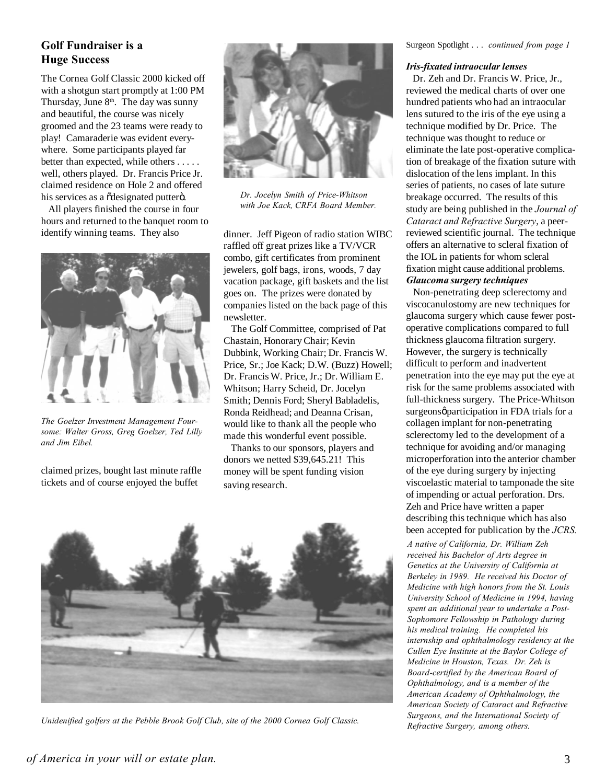# **Golf Fundraiser is a**

The Cornea Golf Classic 2000 kicked off with a shotgun start promptly at 1:00 PM Thursday, June  $8<sup>th</sup>$ . The day was sunny and beautiful, the course was nicely groomed and the 23 teams were ready to play! Camaraderie was evident everywhere. Some participants played far better than expected, while others . . . . . well, others played. Dr. Francis Price Jr. claimed residence on Hole 2 and offered his services as a õdesignated putterö.

 All players finished the course in four hours and returned to the banquet room to identify winning teams. They also



*The Goelzer Investment Management Foursome: Walter Gross, Greg Goelzer, Ted Lilly and Jim Eibel.*

claimed prizes, bought last minute raffle tickets and of course enjoyed the buffet



*Dr. Jocelyn Smith of Price-Whitson with Joe Kack, CRFA Board Member.*

dinner. Jeff Pigeon of radio station WIBC raffled off great prizes like a TV/VCR combo, gift certificates from prominent jewelers, golf bags, irons, woods, 7 day vacation package, gift baskets and the list goes on. The prizes were donated by companies listed on the back page of this newsletter.

 The Golf Committee, comprised of Pat Chastain, Honorary Chair; Kevin Dubbink, Working Chair; Dr. Francis W. Price, Sr.; Joe Kack; D.W. (Buzz) Howell; Dr. Francis W. Price, Jr.; Dr. William E. Whitson; Harry Scheid, Dr. Jocelyn Smith; Dennis Ford; Sheryl Babladelis, Ronda Reidhead; and Deanna Crisan, would like to thank all the people who made this wonderful event possible.

 Thanks to our sponsors, players and donors we netted \$39,645.21! This money will be spent funding vision saving research.



*Unidenified golfers at the Pebble Brook Golf Club, site of the 2000 Cornea Golf Classic.*

Surgeon Spotlight . . . *continued from page 1*

 Dr. Zeh and Dr. Francis W. Price, Jr., reviewed the medical charts of over one hundred patients who had an intraocular lens sutured to the iris of the eye using a technique modified by Dr. Price. The technique was thought to reduce or eliminate the late post-operative complication of breakage of the fixation suture with dislocation of the lens implant. In this series of patients, no cases of late suture breakage occurred. The results of this study are being published in the *Journal of Cataract and Refractive Surgery*, a peerreviewed scientific journal. The technique offers an alternative to scleral fixation of the IOL in patients for whom scleral fixation might cause additional problems. *Glaucoma surgery techniques*

 Non-penetrating deep sclerectomy and viscocanulostomy are new techniques for glaucoma surgery which cause fewer postoperative complications compared to full thickness glaucoma filtration surgery. However, the surgery is technically difficult to perform and inadvertent penetration into the eye may put the eye at risk for the same problems associated with full-thickness surgery. The Price-Whitson surgeonsøparticipation in FDA trials for a collagen implant for non-penetrating sclerectomy led to the development of a technique for avoiding and/or managing microperforation into the anterior chamber of the eye during surgery by injecting viscoelastic material to tamponade the site of impending or actual perforation. Drs. Zeh and Price have written a paper describing this technique which has also been accepted for publication by the *JCRS.*

*A native of California, Dr. William Zeh received his Bachelor of Arts degree in Genetics at the University of California at Berkeley in 1989. He received his Doctor of Medicine with high honors from the St. Louis University School of Medicine in 1994, having spent an additional year to undertake a Post-Sophomore Fellowship in Pathology during his medical training. He completed his internship and ophthalmology residency at the Cullen Eye Institute at the Baylor College of Medicine in Houston, Texas. Dr. Zeh is Board-certified by the American Board of Ophthalmology, and is a member of the American Academy of Ophthalmology, the American Society of Cataract and Refractive Surgeons, and the International Society of Refractive Surgery, among others.*